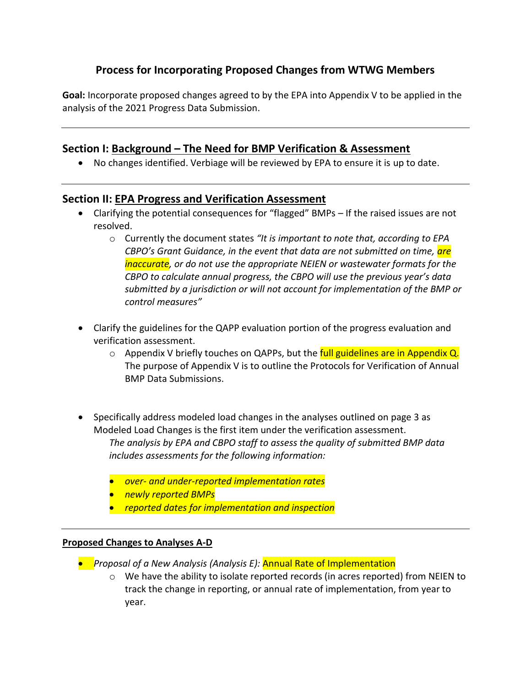# **Process for Incorporating Proposed Changes from WTWG Members**

**Goal:** Incorporate proposed changes agreed to by the EPA into Appendix V to be applied in the analysis of the 2021 Progress Data Submission.

# **Section I: Background – The Need for BMP Verification & Assessment**

• No changes identified. Verbiage will be reviewed by EPA to ensure it is up to date.

## **Section II: EPA Progress and Verification Assessment**

- Clarifying the potential consequences for "flagged" BMPs If the raised issues are not resolved.
	- o Currently the document states *"It is important to note that, according to EPA CBPO's Grant Guidance, in the event that data are not submitted on time, are inaccurate, or do not use the appropriate NEIEN or wastewater formats for the CBPO to calculate annual progress, the CBPO will use the previous year's data submitted by a jurisdiction or will not account for implementation of the BMP or control measures"*
- Clarify the guidelines for the QAPP evaluation portion of the progress evaluation and verification assessment.
	- $\circ$  Appendix V briefly touches on QAPPs, but the full guidelines are in Appendix Q. The purpose of Appendix V is to outline the Protocols for Verification of Annual BMP Data Submissions.
- Specifically address modeled load changes in the analyses outlined on page 3 as Modeled Load Changes is the first item under the verification assessment. *The analysis by EPA and CBPO staff to assess the quality of submitted BMP data includes assessments for the following information:* 
	- *over- and under-reported implementation rates*
	- *newly reported BMPs*
	- *reported dates for implementation and inspection*

#### **Proposed Changes to Analyses A-D**

- *Proposal of a New Analysis (Analysis E):* Annual Rate of Implementation
	- $\circ$  We have the ability to isolate reported records (in acres reported) from NEIEN to track the change in reporting, or annual rate of implementation, from year to year.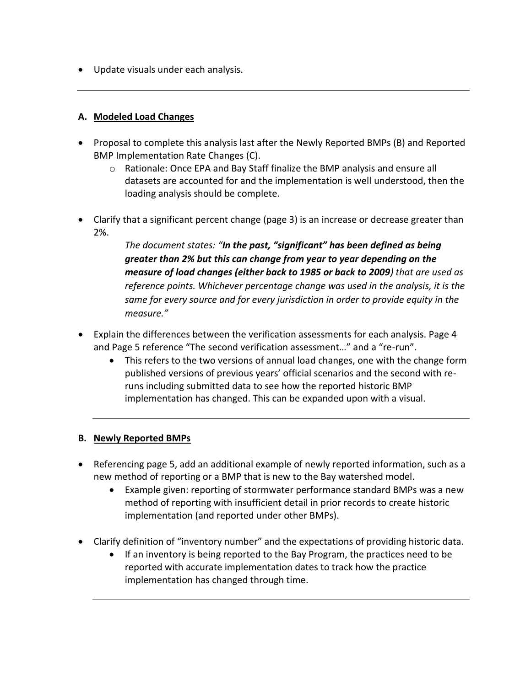• Update visuals under each analysis.

#### **A. Modeled Load Changes**

- Proposal to complete this analysis last after the Newly Reported BMPs (B) and Reported BMP Implementation Rate Changes (C).
	- o Rationale: Once EPA and Bay Staff finalize the BMP analysis and ensure all datasets are accounted for and the implementation is well understood, then the loading analysis should be complete.
- Clarify that a significant percent change (page 3) is an increase or decrease greater than 2%.

*The document states: "In the past, "significant" has been defined as being greater than 2% but this can change from year to year depending on the measure of load changes (either back to 1985 or back to 2009) that are used as reference points. Whichever percentage change was used in the analysis, it is the same for every source and for every jurisdiction in order to provide equity in the measure."*

- Explain the differences between the verification assessments for each analysis. Page 4 and Page 5 reference "The second verification assessment…" and a "re-run".
	- This refers to the two versions of annual load changes, one with the change form published versions of previous years' official scenarios and the second with reruns including submitted data to see how the reported historic BMP implementation has changed. This can be expanded upon with a visual.

#### **B. Newly Reported BMPs**

- Referencing page 5, add an additional example of newly reported information, such as a new method of reporting or a BMP that is new to the Bay watershed model.
	- Example given: reporting of stormwater performance standard BMPs was a new method of reporting with insufficient detail in prior records to create historic implementation (and reported under other BMPs).
- Clarify definition of "inventory number" and the expectations of providing historic data.
	- If an inventory is being reported to the Bay Program, the practices need to be reported with accurate implementation dates to track how the practice implementation has changed through time.